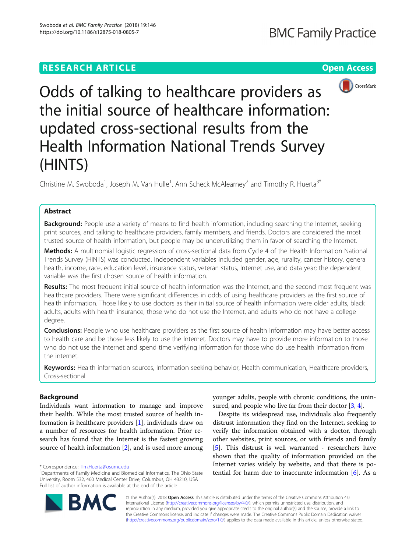# **RESEARCH ARTICLE Example 2014 12:30 The Contract of Contract ACCESS**



Odds of talking to healthcare providers as the initial source of healthcare information: updated cross-sectional results from the Health Information National Trends Survey (HINTS)

Christine M. Swoboda<sup>1</sup>, Joseph M. Van Hulle<sup>1</sup>, Ann Scheck McAlearney<sup>2</sup> and Timothy R. Huerta<sup>3\*</sup>

# Abstract

Background: People use a variety of means to find health information, including searching the Internet, seeking print sources, and talking to healthcare providers, family members, and friends. Doctors are considered the most trusted source of health information, but people may be underutilizing them in favor of searching the Internet.

Methods: A multinomial logistic regression of cross-sectional data from Cycle 4 of the Health Information National Trends Survey (HINTS) was conducted. Independent variables included gender, age, rurality, cancer history, general health, income, race, education level, insurance status, veteran status, Internet use, and data year; the dependent variable was the first chosen source of health information.

Results: The most frequent initial source of health information was the Internet, and the second most frequent was healthcare providers. There were significant differences in odds of using healthcare providers as the first source of health information. Those likely to use doctors as their initial source of health information were older adults, black adults, adults with health insurance, those who do not use the Internet, and adults who do not have a college degree.

**Conclusions:** People who use healthcare providers as the first source of health information may have better access to health care and be those less likely to use the Internet. Doctors may have to provide more information to those who do not use the internet and spend time verifying information for those who do use health information from the internet.

Keywords: Health information sources, Information seeking behavior, Health communication, Healthcare providers, Cross-sectional

# Background

Individuals want information to manage and improve their health. While the most trusted source of health information is healthcare providers [\[1](#page-7-0)], individuals draw on a number of resources for health information. Prior research has found that the Internet is the fastest growing source of health information [[2\]](#page-7-0), and is used more among younger adults, people with chronic conditions, the uninsured, and people who live far from their doctor  $[3, 4]$  $[3, 4]$  $[3, 4]$ .

Despite its widespread use, individuals also frequently distrust information they find on the Internet, seeking to verify the information obtained with a doctor, through other websites, print sources, or with friends and family [[5\]](#page-7-0). This distrust is well warranted - researchers have shown that the quality of information provided on the Internet varies widely by website, and that there is potential for harm due to inaccurate information  $[6]$  $[6]$ . As a



© The Author(s). 2018 Open Access This article is distributed under the terms of the Creative Commons Attribution 4.0 International License [\(http://creativecommons.org/licenses/by/4.0/](http://creativecommons.org/licenses/by/4.0/)), which permits unrestricted use, distribution, and reproduction in any medium, provided you give appropriate credit to the original author(s) and the source, provide a link to the Creative Commons license, and indicate if changes were made. The Creative Commons Public Domain Dedication waiver [\(http://creativecommons.org/publicdomain/zero/1.0/](http://creativecommons.org/publicdomain/zero/1.0/)) applies to the data made available in this article, unless otherwise stated.

<sup>\*</sup> Correspondence: [Tim.Huerta@osumc.edu](mailto:Tim.Huerta@osumc.edu) <sup>3</sup>

<sup>&</sup>lt;sup>3</sup>Departments of Family Medicine and Biomedical Informatics, The Ohio State University, Room 532, 460 Medical Center Drive, Columbus, OH 43210, USA Full list of author information is available at the end of the article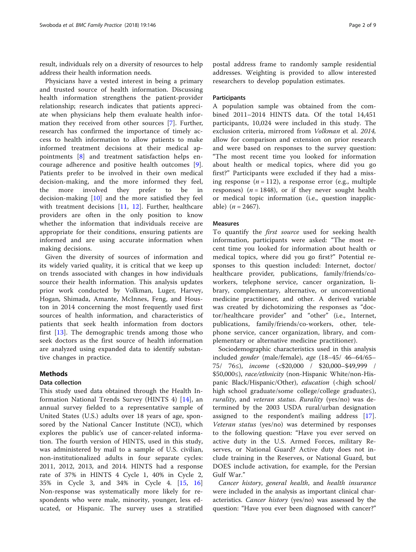result, individuals rely on a diversity of resources to help address their health information needs.

Physicians have a vested interest in being a primary and trusted source of health information. Discussing health information strengthens the patient-provider relationship; research indicates that patients appreciate when physicians help them evaluate health information they received from other sources [[7\]](#page-7-0). Further, research has confirmed the importance of timely access to health information to allow patients to make informed treatment decisions at their medical appointments [\[8](#page-7-0)] and treatment satisfaction helps encourage adherence and positive health outcomes [\[9](#page-7-0)]. Patients prefer to be involved in their own medical decision-making, and the more informed they feel, the more involved they prefer to be in decision-making [\[10](#page-7-0)] and the more satisfied they feel with treatment decisions [\[11](#page-7-0), [12](#page-7-0)]. Further, healthcare providers are often in the only position to know whether the information that individuals receive are appropriate for their conditions, ensuring patients are informed and are using accurate information when making decisions.

Given the diversity of sources of information and its widely varied quality, it is critical that we keep up on trends associated with changes in how individuals source their health information. This analysis updates prior work conducted by Volkman, Luger, Harvey, Hogan, Shimada, Amante, McInnes, Feng, and Houston in 2014 concerning the most frequently used first sources of health information, and characteristics of patients that seek health information from doctors first  $[13]$  $[13]$ . The demographic trends among those who seek doctors as the first source of health information are analyzed using expanded data to identify substantive changes in practice.

# Methods

# Data collection

This study used data obtained through the Health Information National Trends Survey (HINTS 4) [[14](#page-7-0)], an annual survey fielded to a representative sample of United States (U.S.) adults over 18 years of age, sponsored by the National Cancer Institute (NCI), which explores the public's use of cancer-related information. The fourth version of HINTS, used in this study, was administered by mail to a sample of U.S. civilian, non-institutionalized adults in four separate cycles: 2011, 2012, 2013, and 2014. HINTS had a response rate of 37% in HINTS 4 Cycle 1, 40% in Cycle 2, 35% in Cycle 3, and 34% in Cycle 4. [\[15](#page-7-0), [16](#page-7-0)] Non-response was systematically more likely for respondents who were male, minority, younger, less educated, or Hispanic. The survey uses a stratified

postal address frame to randomly sample residential addresses. Weighting is provided to allow interested researchers to develop population estimates.

# Participants

A population sample was obtained from the combined 2011–2014 HINTS data. Of the total 14,451 participants, 10,024 were included in this study. The exclusion criteria, mirrored from Volkman et al. 2014, allow for comparison and extension on prior research and were based on responses to the survey question: "The most recent time you looked for information about health or medical topics, where did you go first?" Participants were excluded if they had a missing response  $(n = 112)$ , a response error (e.g., multiple responses) ( $n = 1848$ ), or if they never sought health or medical topic information (i.e., question inapplicable)  $(n = 2467)$ .

### Measures

To quantify the *first source* used for seeking health information, participants were asked: "The most recent time you looked for information about health or medical topics, where did you go first?" Potential responses to this question included: Internet, doctor/ healthcare provider, publications, family/friends/coworkers, telephone service, cancer organization, library, complementary, alternative, or unconventional medicine practitioner, and other. A derived variable was created by dichotomizing the responses as "doctor/healthcare provider" and "other" (i.e., Internet, publications, family/friends/co-workers, other, telephone service, cancer organization, library, and complementary or alternative medicine practitioner).

Sociodemographic characteristics used in this analysis included gender (male/female), age (18–45/ 46–64/65– 75/ 76≤), income (<\$20,000 / \$20,000–\$49,999 / \$50,000≤), race/ethnicity (non-Hispanic White/non-Hispanic Black/Hispanic/Other), education (<high school/ high school graduate/some college/college graduate≤), rurality, and veteran status. Rurality (yes/no) was determined by the 2003 USDA rural/urban designation assigned to the respondent's mailing address [\[17](#page-7-0)]. Veteran status (yes/no) was determined by responses to the following question: "Have you ever served on active duty in the U.S. Armed Forces, military Reserves, or National Guard? Active duty does not include training in the Reserves, or National Guard, but DOES include activation, for example, for the Persian Gulf War."

Cancer history, general health, and health insurance were included in the analysis as important clinical characteristics. Cancer history (yes/no) was assessed by the question: "Have you ever been diagnosed with cancer?"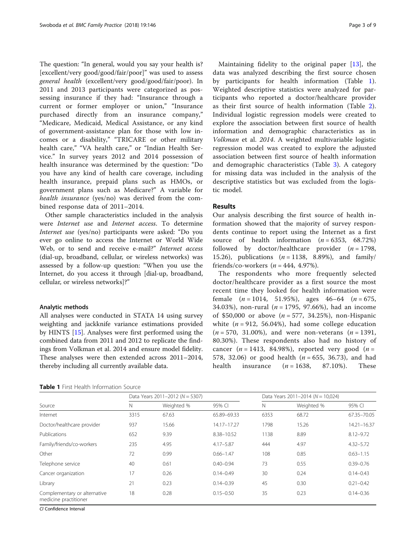The question: "In general, would you say your health is? [excellent/very good/good/fair/poor]" was used to assess general health (excellent/very good/good/fair/poor). In 2011 and 2013 participants were categorized as possessing insurance if they had: "Insurance through a current or former employer or union," "Insurance purchased directly from an insurance company," "Medicare, Medicaid, Medical Assistance, or any kind of government-assistance plan for those with low incomes or a disability," "TRICARE or other military health care," "VA health care," or "Indian Health Service." In survey years 2012 and 2014 possession of health insurance was determined by the question: "Do you have any kind of health care coverage, including health insurance, prepaid plans such as HMOs, or government plans such as Medicare?" A variable for health insurance (yes/no) was derived from the combined response data of 2011–2014.

Other sample characteristics included in the analysis were Internet use and Internet access. To determine Internet use (yes/no) participants were asked: "Do you ever go online to access the Internet or World Wide Web, or to send and receive e-mail?" Internet access (dial-up, broadband, cellular, or wireless networks) was assessed by a follow-up question: "When you use the Internet, do you access it through [dial-up, broadband, cellular, or wireless networks]?"

# Analytic methods

All analyses were conducted in STATA 14 using survey weighting and jackknife variance estimations provided by HINTS [\[15](#page-7-0)]. Analyses were first performed using the combined data from 2011 and 2012 to replicate the findings from Volkman et al. 2014 and ensure model fidelity. These analyses were then extended across 2011–2014, thereby including all currently available data.

Maintaining fidelity to the original paper [[13\]](#page-7-0), the data was analyzed describing the first source chosen by participants for health information (Table 1). Weighted descriptive statistics were analyzed for participants who reported a doctor/healthcare provider as their first source of health information (Table [2](#page-3-0)). Individual logistic regression models were created to explore the association between first source of health information and demographic characteristics as in Volkman et al. 2014. A weighted multivariable logistic regression model was created to explore the adjusted association between first source of health information and demographic characteristics (Table [3](#page-5-0)). A category for missing data was included in the analysis of the descriptive statistics but was excluded from the logistic model.

# Results

Our analysis describing the first source of health information showed that the majority of survey respondents continue to report using the Internet as a first source of health information  $(n = 6353, 68.72%)$ followed by doctor/healthcare provider  $(n = 1798,$ 15.26), publications  $(n = 1138, 8.89%)$ , and family/ friends/co-workers  $(n = 444, 4.97\%)$ .

The respondents who more frequently selected doctor/healthcare provider as a first source the most recent time they looked for health information were female  $(n = 1014, 51.95\%)$ , ages  $46-64$   $(n = 675,$ 34.03%), non-rural ( $n = 1795, 97.66\%$ ), had an income of \$50,000 or above  $(n = 577, 34.25)$ , non-Hispanic white  $(n = 912, 56.04\%)$ , had some college education  $(n = 570, 31.00\%)$ , and were non-veterans  $(n = 1391,$ 80.30%). These respondents also had no history of cancer ( $n = 1413$ , 84.98%), reported very good ( $n =$ 578, 32.06) or good health  $(n = 655, 36.73)$ , and had health insurance  $(n = 1638, 87.10\%)$ . These

| <b>Table 1</b> First Health Information Source |  |
|------------------------------------------------|--|
|------------------------------------------------|--|

|                                                       | Data Years 2011-2012 ( $N = 5307$ ) |            |               | Data Years 2011-2014 ( $N = 10,024$ ) |            |                 |
|-------------------------------------------------------|-------------------------------------|------------|---------------|---------------------------------------|------------|-----------------|
| Source                                                | N                                   | Weighted % | 95% CI        | N                                     | Weighted % | 95% CI          |
| Internet                                              | 3315                                | 67.63      | 65.89-69.33   | 6353                                  | 68.72      | 67.35-70.05     |
| Doctor/healthcare provider                            | 937                                 | 15.66      | 14.17-17.27   | 1798                                  | 15.26      | $14.21 - 16.37$ |
| Publications                                          | 652                                 | 9.39       | 8.38-10.52    | 1138                                  | 8.89       | $8.12 - 9.72$   |
| Family/friends/co-workers                             | 235                                 | 4.95       | $4.17 - 5.87$ | 444                                   | 4.97       | $4.32 - 5.72$   |
| Other                                                 | 72                                  | 0.99       | $0.66 - 1.47$ | 108                                   | 0.85       | $0.63 - 1.15$   |
| Telephone service                                     | 40                                  | 0.61       | $0.40 - 0.94$ | 73                                    | 0.55       | $0.39 - 0.76$   |
| Cancer organization                                   | 17                                  | 0.26       | $0.14 - 0.49$ | 30                                    | 0.24       | $0.14 - 0.43$   |
| Library                                               | 21                                  | 0.23       | $0.14 - 0.39$ | 45                                    | 0.30       | $0.21 - 0.42$   |
| Complementary or alternative<br>medicine practitioner | 18                                  | 0.28       | $0.15 - 0.50$ | 35                                    | 0.23       | $0.14 - 0.36$   |

CI Confidence Interval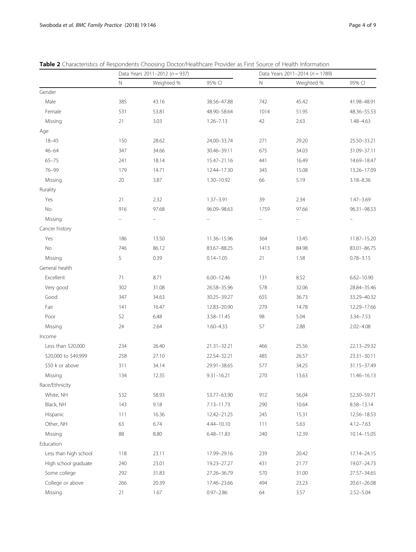|                       | Data Years 2011-2012 ( $n = 937$ ) |            |                |             | Data Years 2011-2014 ( $n = 1789$ ) |                 |  |
|-----------------------|------------------------------------|------------|----------------|-------------|-------------------------------------|-----------------|--|
|                       | $\hbox{N}$                         | Weighted % | 95% CI         | $\mathbb N$ | Weighted %                          | 95% CI          |  |
| Gender                |                                    |            |                |             |                                     |                 |  |
| Male                  | 385                                | 43.16      | 38.56-47.88    | 742         | 45.42                               | 41.98-48.91     |  |
| Female                | 531                                | 53.81      | 48.90-58.64    | 1014        | 51.95                               | 48.36-55.53     |  |
| Missing               | 21                                 | 3.03       | $1.26 - 7.13$  | 42          | 2.63                                | 1.48-4.63       |  |
| Age                   |                                    |            |                |             |                                     |                 |  |
| $18 - 45$             | 150                                | 28.62      | 24.00-33.74    | 271         | 29.20                               | 25.50-33.21     |  |
| $46 - 64$             | 347                                | 34.66      | 30.46-39.11    | 675         | 34.03                               | 31.09-37.11     |  |
| $65 - 75$             | 241                                | 18.14      | 15.47-21.16    | 441         | 16.49                               | 14.69-18.47     |  |
| $76 - 99$             | 179                                | 14.71      | 12.44-17.30    | 345         | 15.08                               | 13.26-17.09     |  |
| Missing               | $20\,$                             | 3.87       | 1.30-10.92     | 66          | 5.19                                | $3.18 - 8.36$   |  |
| Rurality              |                                    |            |                |             |                                     |                 |  |
| Yes                   | 21                                 | 2.32       | $1.37 - 3.91$  | 39          | 2.34                                | $1.47 - 3.69$   |  |
| No                    | 916                                | 97.68      | 96.09-98.63    | 1759        | 97.66                               | 96.31-98.53     |  |
| Missing               |                                    |            |                |             |                                     |                 |  |
| Cancer history        |                                    |            |                |             |                                     |                 |  |
| Yes                   | 186                                | 13.50      | 11.36-15.96    | 364         | 13.45                               | 11.87-15.20     |  |
| No                    | 746                                | 86.12      | 83.67-88.25    | 1413        | 84.98                               | 83.01-86.75     |  |
| Missing               | 5                                  | 0.39       | $0.14 - 1.05$  | 21          | 1.58                                | $0.78 - 3.15$   |  |
| General health        |                                    |            |                |             |                                     |                 |  |
| Excellent             | 71                                 | 8.71       | $6.00 - 12.46$ | 131         | 8.52                                | $6.62 - 10.90$  |  |
| Very good             | 302                                | 31.08      | 26.58-35.96    | 578         | 32.06                               | 28.84-35.46     |  |
| Good                  | 347                                | 34.63      | 30.25-39.27    | 655         | 36.73                               | 33.29-40.32     |  |
| Fair                  | 141                                | 16.47      | 12.83-20.90    | 279         | 14.78                               | 12.29-17.66     |  |
| Poor                  | 52                                 | 6.48       | 3.58-11.45     | 98          | 5.04                                | 3.34-7.53       |  |
| Missing               | 24                                 | 2.64       | $1.60 - 4.33$  | 57          | 2.88                                | $2.02 - 4.08$   |  |
| Income                |                                    |            |                |             |                                     |                 |  |
| Less than \$20,000    | 234                                | 26.40      | 21.31-32.21    | 466         | 25.56                               | 22.13-29.32     |  |
| \$20,000 to \$49,999  | 258                                | 27.10      | 22.54-32.21    | 485         | 26.57                               | 23.31-30.11     |  |
| \$50 k or above       | 311                                | 34.14      | 29.91-38.65    | 577         | 34.25                               | 31.15-37.49     |  |
| Missing               | 134                                | 12.35      | $9.31 - 16.21$ | 270         | 13.63                               | 11.46-16.13     |  |
| Race/Ethnicity        |                                    |            |                |             |                                     |                 |  |
| White, NH             | 532                                | 58.93      | 53.77-63.90    | 912         | 56.04                               | 52.30-59.71     |  |
| Black, NH             | 143                                | 9.18       | 7.13-11.73     | 290         | 10.64                               | 8.58-13.14      |  |
| Hispanic              | 111                                | 16.36      | 12.42-21.25    | 245         | 15.31                               | 12.56-18.53     |  |
| Other, NH             | 63                                 | 6.74       | 4.44-10.10     | 111         | 5.63                                | $4.12 - 7.63$   |  |
| Missing               | 88                                 | 8.80       | $6.48 - 11.83$ | 240         | 12.39                               | 10.14-15.05     |  |
| Education             |                                    |            |                |             |                                     |                 |  |
| Less than high school | 118                                | 23.11      | 17.99-29.16    | 239         | 20.42                               | 17.14-24.15     |  |
| High school graduate  | 240                                | 23.01      | 19.23-27.27    | 431         | 21.77                               | 19.07-24.73     |  |
| Some college          | 292                                | 31.83      | 27.26-36.79    | 570         | 31.00                               | 27.57-34.65     |  |
| College or above      | 266                                | 20.39      | 17.46-23.66    | 494         | 23.23                               | $20.61 - 26.08$ |  |
| Missing               | 21                                 | 1.67       | $0.97 - 2.86$  | 64          | 3.57                                | $2.52 - 5.04$   |  |
|                       |                                    |            |                |             |                                     |                 |  |

<span id="page-3-0"></span>Table 2 Characteristics of Respondents Choosing Doctor/Healthcare Provider as First Source of Health Information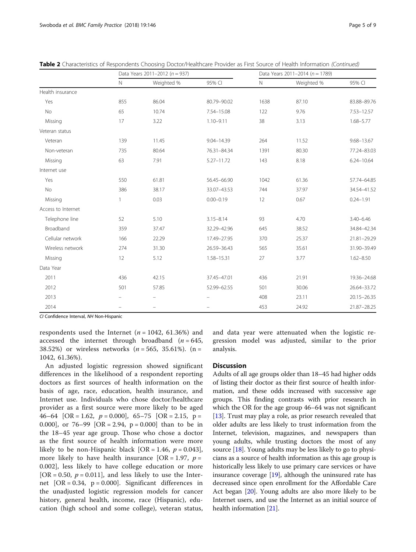|                    | Data Years 2011-2012 ( $n = 937$ ) |                          |                |            | Data Years 2011-2014 ( $n = 1789$ ) |                 |  |
|--------------------|------------------------------------|--------------------------|----------------|------------|-------------------------------------|-----------------|--|
|                    | $\mathsf{N}$                       | Weighted %               | 95% CI         | $\hbox{N}$ | Weighted %                          | 95% CI          |  |
| Health insurance   |                                    |                          |                |            |                                     |                 |  |
| Yes                | 855                                | 86.04                    | 80.79-90.02    | 1638       | 87.10                               | 83.88-89.76     |  |
| No                 | 65                                 | 10.74                    | 7.54-15.08     | 122        | 9.76                                | 7.53-12.57      |  |
| Missing            | 17                                 | 3.22                     | $1.10 - 9.11$  | 38         | 3.13                                | $1.68 - 5.77$   |  |
| Veteran status     |                                    |                          |                |            |                                     |                 |  |
| Veteran            | 139                                | 11.45                    | $9.04 - 14.39$ | 264        | 11.52                               | $9.68 - 13.67$  |  |
| Non-veteran        | 735                                | 80.64                    | 76.31-84.34    | 1391       | 80.30                               | 77.24-83.03     |  |
| Missing            | 63                                 | 7.91                     | 5.27-11.72     | 143        | 8.18                                | $6.24 - 10.64$  |  |
| Internet use       |                                    |                          |                |            |                                     |                 |  |
| Yes                | 550                                | 61.81                    | 56.45-66.90    | 1042       | 61.36                               | 57.74-64.85     |  |
| No                 | 386                                | 38.17                    | 33.07-43.53    | 744        | 37.97                               | 34.54-41.52     |  |
| Missing            | 1                                  | 0.03                     | $0.00 - 0.19$  | 12         | 0.67                                | $0.24 - 1.91$   |  |
| Access to Internet |                                    |                          |                |            |                                     |                 |  |
| Telephone line     | 52                                 | 5.10                     | $3.15 - 8.14$  | 93         | 4.70                                | $3.40 - 6.46$   |  |
| Broadband          | 359                                | 37.47                    | 32.29-42.96    | 645        | 38.52                               | 34.84-42.34     |  |
| Cellular network   | 166                                | 22.29                    | 17.49-27.95    | 370        | 25.37                               | 21.81-29.29     |  |
| Wireless network   | 274                                | 31.30                    | 26.59-36.43    | 565        | 35.61                               | 31.90-39.49     |  |
| Missing            | 12                                 | 5.12                     | 1.58-15.31     | 27         | 3.77                                | $1.62 - 8.50$   |  |
| Data Year          |                                    |                          |                |            |                                     |                 |  |
| 2011               | 436                                | 42.15                    | 37.45-47.01    | 436        | 21.91                               | 19.36-24.68     |  |
| 2012               | 501                                | 57.85                    | 52.99-62.55    | 501        | 30.06                               | 26.64-33.72     |  |
| 2013               |                                    |                          |                | 408        | 23.11                               | $20.15 - 26.35$ |  |
| 2014               |                                    | $\overline{\phantom{0}}$ |                | 453        | 24.92                               | 21.87-28.25     |  |

Table 2 Characteristics of Respondents Choosing Doctor/Healthcare Provider as First Source of Health Information (Continued)

CI Confidence Interval, NH Non-Hispanic

respondents used the Internet ( $n = 1042, 61.36\%$ ) and accessed the internet through broadband  $(n = 645,$ 38.52%) or wireless networks ( $n = 565$ , 35.61%). (n = 1042, 61.36%).

An adjusted logistic regression showed significant differences in the likelihood of a respondent reporting doctors as first sources of health information on the basis of age, race, education, health insurance, and Internet use. Individuals who chose doctor/healthcare provider as a first source were more likely to be aged 46–64 [OR = 1.62,  $p = 0.000$ ], 65–75 [OR = 2.15, p = 0.000], or  $76-99$  [OR = 2.94, p = 0.000] than to be in the 18–45 year age group. Those who chose a doctor as the first source of health information were more likely to be non-Hispanic black  $[OR = 1.46, p = 0.043]$ , more likely to have health insurance [OR = 1.97,  $p =$ 0.002], less likely to have college education or more [OR = 0.50,  $p = 0.011$ ], and less likely to use the Internet  $[OR = 0.34, p = 0.000]$ . Significant differences in the unadjusted logistic regression models for cancer history, general health, income, race (Hispanic), education (high school and some college), veteran status, and data year were attenuated when the logistic regression model was adjusted, similar to the prior analysis.

# **Discussion**

Adults of all age groups older than 18–45 had higher odds of listing their doctor as their first source of health information, and these odds increased with successive age groups. This finding contrasts with prior research in which the OR for the age group 46–64 was not significant [[13](#page-7-0)]. Trust may play a role, as prior research revealed that older adults are less likely to trust information from the Internet, television, magazines, and newspapers than young adults, while trusting doctors the most of any source [[18](#page-7-0)]. Young adults may be less likely to go to physicians as a source of health information as this age group is historically less likely to use primary care services or have insurance coverage [[19](#page-7-0)], although the uninsured rate has decreased since open enrollment for the Affordable Care Act began [[20](#page-7-0)]. Young adults are also more likely to be Internet users, and use the Internet as an initial source of health information [\[21\]](#page-7-0).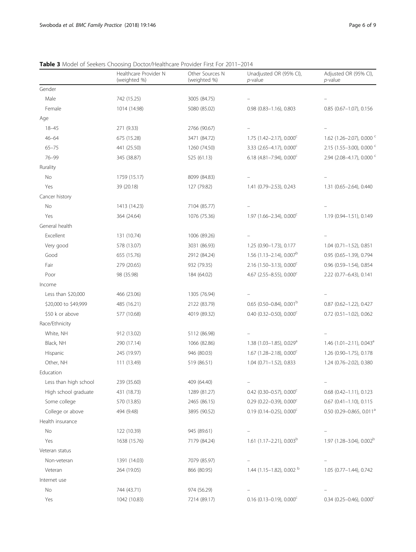|                       | Healthcare Provider N<br>(weighted %) | Other Sources N<br>(weighted %) | Unadjusted OR (95% CI),<br>$p$ -value   | Adjusted OR (95% CI),<br>$p$ -value       |
|-----------------------|---------------------------------------|---------------------------------|-----------------------------------------|-------------------------------------------|
| Gender                |                                       |                                 |                                         |                                           |
| Male                  | 742 (15.25)                           | 3005 (84.75)                    |                                         |                                           |
| Female                | 1014 (14.98)                          | 5080 (85.02)                    | $0.98$ $(0.83 - 1.16)$ , $0.803$        | 0.85 (0.67-1.07), 0.156                   |
| Age                   |                                       |                                 |                                         |                                           |
| $18 - 45$             | 271 (9.33)                            | 2766 (90.67)                    |                                         |                                           |
| $46 - 64$             | 675 (15.28)                           | 3471 (84.72)                    | $1.75$ (1.42-2.17), 0.000 <sup>c</sup>  | 1.62 (1.26-2.07), 0.000 $\degree$         |
| $65 - 75$             | 441 (25.50)                           | 1260 (74.50)                    | 3.33 (2.65-4.17), $0.000^{\circ}$       | 2.15 (1.55-3.00), 0.000 $\degree$         |
| $76 - 99$             | 345 (38.87)                           | 525 (61.13)                     | 6.18 (4.81-7.94), $0.000^{\circ}$       | 2.94 (2.08-4.17), 0.000 °                 |
| Rurality              |                                       |                                 |                                         |                                           |
| No                    | 1759 (15.17)                          | 8099 (84.83)                    |                                         |                                           |
| Yes                   | 39 (20.18)                            | 127 (79.82)                     | 1.41 (0.79-2.53), 0.243                 | 1.31 (0.65-2.64), 0.440                   |
| Cancer history        |                                       |                                 |                                         |                                           |
| No                    | 1413 (14.23)                          | 7104 (85.77)                    |                                         |                                           |
| Yes                   | 364 (24.64)                           | 1076 (75.36)                    | $1.97$ (1.66-2.34), 0.000 <sup>c</sup>  | 1.19 (0.94-1.51), 0.149                   |
| General health        |                                       |                                 |                                         |                                           |
| Excellent             | 131 (10.74)                           | 1006 (89.26)                    |                                         |                                           |
| Very good             | 578 (13.07)                           | 3031 (86.93)                    | 1.25 (0.90-1.73), 0.177                 | $1.04$ (0.71-1.52), 0.851                 |
| Good                  | 655 (15.76)                           | 2912 (84.24)                    | 1.56 (1.13-2.14), 0.007 <sup>b</sup>    | 0.95 (0.65-1.39), 0.794                   |
| Fair                  | 279 (20.65)                           | 932 (79.35)                     | 2.16 (1.50-3.13), $0.000^{\circ}$       | 0.96 (0.59-1.54), 0.854                   |
| Poor                  | 98 (35.98)                            | 184 (64.02)                     | 4.67 (2.55-8.55), $0.000^{\circ}$       | 2.22 (0.77-6.43), 0.141                   |
| Income                |                                       |                                 |                                         |                                           |
| Less than \$20,000    | 466 (23.06)                           | 1305 (76.94)                    |                                         |                                           |
| \$20,000 to \$49,999  | 485 (16.21)                           | 2122 (83.79)                    | $0.65$ (0.50-0.84), 0.001 <sup>b</sup>  | 0.87 (0.62-1.22), 0.427                   |
| \$50 k or above       | 577 (10.68)                           | 4019 (89.32)                    | 0.40 (0.32-0.50), 0.000 $^{\circ}$      | $0.72$ (0.51-1.02), 0.062                 |
| Race/Ethnicity        |                                       |                                 |                                         |                                           |
| White, NH             | 912 (13.02)                           | 5112 (86.98)                    |                                         |                                           |
| Black, NH             | 290 (17.14)                           | 1066 (82.86)                    | 1.38 (1.03-1.85), 0.029 <sup>a</sup>    | 1.46 $(1.01 - 2.11)$ , 0.043 <sup>a</sup> |
| Hispanic              | 245 (19.97)                           | 946 (80.03)                     | $1.67$ (1.28-2.18), 0.000 <sup>c</sup>  | 1.26 (0.90-1.75), 0.178                   |
| Other, NH             | 111 (13.49)                           | 519 (86.51)                     | $1.04$ (0.71-1.52), 0.833               | 1.24 (0.76-2.02), 0.380                   |
| Education             |                                       |                                 |                                         |                                           |
| Less than high school | 239 (35.60)                           | 409 (64.40)                     |                                         |                                           |
| High school graduate  | 431 (18.73)                           | 1289 (81.27)                    | $0.42$ (0.30-0.57), 0.000 <sup>c</sup>  | $0.68$ (0.42-1.11), 0.123                 |
| Some college          | 570 (13.85)                           | 2465 (86.15)                    | $0.29$ (0.22-0.39), $0.000^{\circ}$     | $0.67$ (0.41-1.10), 0.115                 |
| College or above      | 494 (9.48)                            | 3895 (90.52)                    | $0.19$ (0.14-0.25), 0.000 <sup>c</sup>  | $0.50$ (0.29-0.865, 0.011 <sup>a</sup>    |
| Health insurance      |                                       |                                 |                                         |                                           |
| No                    | 122 (10.39)                           | 945 (89.61)                     |                                         |                                           |
| Yes                   | 1638 (15.76)                          | 7179 (84.24)                    | 1.61 $(1.17-2.21)$ , 0.003 <sup>b</sup> | 1.97 (1.28-3.04), 0.002 <sup>b</sup>      |
| Veteran status        |                                       |                                 |                                         |                                           |
| Non-veteran           | 1391 (14.03)                          | 7079 (85.97)                    |                                         |                                           |
| Veteran               | 264 (19.05)                           | 866 (80.95)                     | 1.44 (1.15-1.82), 0.002 b               | 1.05 (0.77-1.44), 0.742                   |
| Internet use          |                                       |                                 |                                         |                                           |
| No                    | 744 (43.71)                           | 974 (56.29)                     |                                         |                                           |
| Yes                   | 1042 (10.83)                          | 7214 (89.17)                    | $0.16$ (0.13-0.19), 0.000 <sup>c</sup>  | $0.34$ (0.25-0.46), 0.000 <sup>c</sup>    |

<span id="page-5-0"></span>Table 3 Model of Seekers Choosing Doctor/Healthcare Provider First For 2011-2014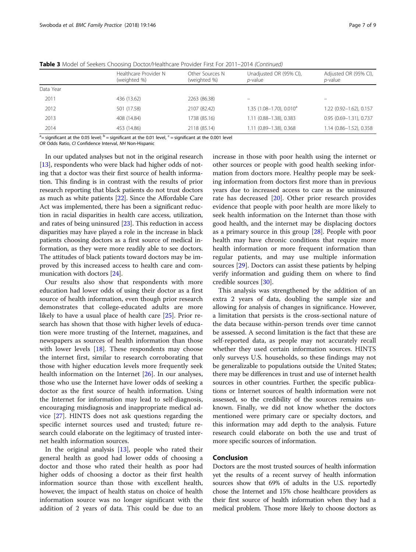|           | Healthcare Provider N<br>(weighted %) | Other Sources N<br>(weighted %) | Unadjusted OR (95% CI),<br><i>p</i> -value | Adjusted OR (95% CI),<br><i>p</i> -value |
|-----------|---------------------------------------|---------------------------------|--------------------------------------------|------------------------------------------|
| Data Year |                                       |                                 |                                            |                                          |
| 2011      | 436 (13.62)                           | 2263 (86.38)                    | $\overline{\phantom{m}}$                   | -                                        |
| 2012      | 501 (17.58)                           | 2107 (82.42)                    | $1.35$ (1.08-1.70), 0.010 <sup>a</sup>     | 1.22 (0.92-1.62), 0.157                  |
| 2013      | 408 (14.84)                           | 1738 (85.16)                    | 1.11 (0.88-1.38), 0.383                    | 0.95 (0.69-1.31), 0.737                  |
| 2014      | 453 (14.86)                           | 2118 (85.14)                    | 1.11 (0.89-1.38), 0.368                    | 1.14 (0.86-1.52), 0.358                  |

Table 3 Model of Seekers Choosing Doctor/Healthcare Provider First For 2011-2014 (Continued)

 $^{\rm a}$ = significant at the 0.05 level;  $^{\rm b}$  = significant at the 0.01 level, <sup>c</sup> = significant at the 0.001 level

OR Odds Ratio, CI Confidence Interval, NH Non-Hispanic

In our updated analyses but not in the original research [[13](#page-7-0)], respondents who were black had higher odds of noting that a doctor was their first source of health information. This finding is in contrast with the results of prior research reporting that black patients do not trust doctors as much as white patients [\[22\]](#page-7-0). Since the Affordable Care Act was implemented, there has been a significant reduction in racial disparities in health care access, utilization, and rates of being uninsured [[23](#page-7-0)]. This reduction in access disparities may have played a role in the increase in black patients choosing doctors as a first source of medical information, as they were more readily able to see doctors. The attitudes of black patients toward doctors may be improved by this increased access to health care and communication with doctors [[24](#page-7-0)].

Our results also show that respondents with more education had lower odds of using their doctor as a first source of health information, even though prior research demonstrates that college-educated adults are more likely to have a usual place of health care [\[25](#page-7-0)]. Prior research has shown that those with higher levels of education were more trusting of the Internet, magazines, and newspapers as sources of health information than those with lower levels  $[18]$ . These respondents may choose the internet first, similar to research corroborating that those with higher education levels more frequently seek health information on the Internet [[26\]](#page-8-0). In our analyses, those who use the Internet have lower odds of seeking a doctor as the first source of health information. Using the Internet for information may lead to self-diagnosis, encouraging misdiagnosis and inappropriate medical advice [[27\]](#page-8-0). HINTS does not ask questions regarding the specific internet sources used and trusted; future research could elaborate on the legitimacy of trusted internet health information sources.

In the original analysis  $[13]$  $[13]$ , people who rated their general health as good had lower odds of choosing a doctor and those who rated their health as poor had higher odds of choosing a doctor as their first health information source than those with excellent health, however, the impact of health status on choice of health information source was no longer significant with the addition of 2 years of data. This could be due to an

increase in those with poor health using the internet or other sources or people with good health seeking information from doctors more. Healthy people may be seeking information from doctors first more than in previous years due to increased access to care as the uninsured rate has decreased [\[20](#page-7-0)]. Other prior research provides evidence that people with poor health are more likely to seek health information on the Internet than those with good health, and the internet may be displacing doctors as a primary source in this group [\[28](#page-8-0)]. People with poor health may have chronic conditions that require more health information or more frequent information than regular patients, and may use multiple information sources [\[29](#page-8-0)]. Doctors can assist these patients by helping verify information and guiding them on where to find credible sources [[30](#page-8-0)].

This analysis was strengthened by the addition of an extra 2 years of data, doubling the sample size and allowing for analysis of changes in significance. However, a limitation that persists is the cross-sectional nature of the data because within-person trends over time cannot be assessed. A second limitation is the fact that these are self-reported data, as people may not accurately recall whether they used certain information sources. HINTS only surveys U.S. households, so these findings may not be generalizable to populations outside the United States; there may be differences in trust and use of internet health sources in other countries. Further, the specific publications or Internet sources of health information were not assessed, so the credibility of the sources remains unknown. Finally, we did not know whether the doctors mentioned were primary care or specialty doctors, and this information may add depth to the analysis. Future research could elaborate on both the use and trust of more specific sources of information.

# Conclusion

Doctors are the most trusted sources of health information yet the results of a recent survey of health information sources show that 69% of adults in the U.S. reportedly chose the Internet and 15% chose healthcare providers as their first source of health information when they had a medical problem. Those more likely to choose doctors as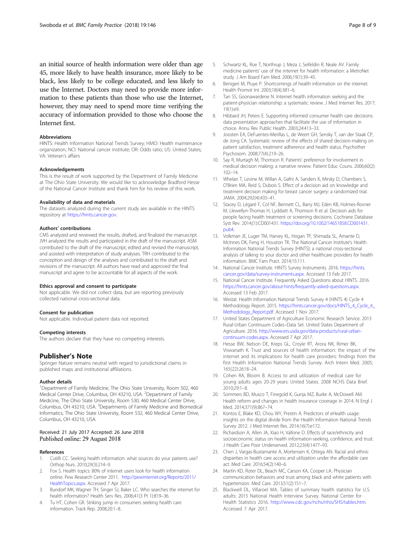<span id="page-7-0"></span>an initial source of health information were older than age 45, more likely to have health insurance, more likely to be black, less likely to be college educated, and less likely to use the Internet. Doctors may need to provide more information to these patients than those who use the Internet, however, they may need to spend more time verifying the accuracy of information provided to those who choose the Internet first.

#### **Abbreviations**

HINTS: Health Information National Trends Survey; HMO: Health maintenance organization; NCI: National cancer institute; OR: Odds ratio; US: United States; VA: Veteran's affairs

#### Acknowledgements

This is the result of work supported by the Department of Family Medicine at The Ohio State University. We would like to acknowledge Bradford Hesse of the National Cancer Institute and thank him for his review of this work.

#### Availability of data and materials

The datasets analyzed during the current study are available in the HINTS repository at [https://hints.cancer.gov.](https://hints.cancer.gov)

### Authors' contributions

CMS analyzed and reviewed the results, drafted, and finalized the manuscript. JVH analyzed the results and participated in the draft of the manuscript. ASM contributed to the draft of the manuscript, edited and revised the manuscript, and assisted with interpretation of study analyses. TRH contributed to the conception and design of the analyses and contributed to the draft and revisions of the manuscript. All authors have read and approved the final manuscript and agree to be accountable for all aspects of the work.

#### Ethics approval and consent to participate

Not applicable. We did not collect data, but are reporting previously collected national cross-sectional data.

#### Consent for publication

Not applicable. Individual patient data not reported.

#### Competing interests

The authors declare that they have no competing interests.

#### Publisher's Note

Springer Nature remains neutral with regard to jurisdictional claims in published maps and institutional affiliations.

#### Author details

<sup>1</sup>Department of Family Medicine, The Ohio State University, Room 502, 460 Medical Center Drive, Columbus, OH 43210, USA. <sup>2</sup>Department of Family Medicine, The Ohio State University, Room 530, 460 Medical Center Drive, Columbus, OH 43210, USA. <sup>3</sup>Departments of Family Medicine and Biomedical Informatics, The Ohio State University, Room 532, 460 Medical Center Drive, Columbus, OH 43210, USA.

### Received: 21 July 2017 Accepted: 26 June 2018 Published online: 29 August 2018

#### References

- 1. Cutilli CC. Seeking health information: what sources do your patients use? Orthop Nurs. 2010;29(3):214–9.
- 2. Fox S. Health topics: 80% of internet users look for health information online. Pew Research Center 2011. [http://pewinternet.org/Reports/2011/](http://pewinternet.org/Reports/2011/HealthTopics.aspx) [HealthTopics.aspx](http://pewinternet.org/Reports/2011/HealthTopics.aspx). Accessed 7 Apr 2017.
- 3. Bundorf MK, Wagner TH, Singer SJ, Baker LC. Who searches the internet for health information? Health Serv Res. 2006;41(3 Pt 1):819–36.
- Tu HT, Cohen GR. Striking jump in consumers seeking health care information. Track Rep. 2008;20:1–8.
- 5. Schwartz KL, Roe T, Northrup J, Meza J, Seifeldin R, Neale AV. Family medicine patients' use of the internet for health information: a MetroNet study. J Am Board Fam Med. 2006;19(1):39–45.
- 6. Benigeri M, Pluye P. Shortcomings of health information on the internet. Health Promot Int. 2003;18(4):381–6.
- 7. Tan SS, Goonawardene N. Internet health information seeking and the patient-physician relationship: a systematic review. J Med Internet Res. 2017;  $19(1)$ : $\rho$ 9
- 8. Hibbard JH, Peters E. Supporting informed consumer health care decisions: data presentation approaches that facilitate the use of information in choice. Annu Rev Public Health. 2003;24:413–33.
- 9. Joosten EA, DeFuentes-Merillas L, de Weert GH, Sensky T, van der Staak CP, de Jong CA. Systematic review of the effects of shared decision-making on patient satisfaction, treatment adherence and health status. Psychother Psychosom. 2008;77(4):219–26.
- 10. Say R, Murtagh M, Thomson R. Patients' preference for involvement in medical decision making: a narrative review. Patient Educ Couns. 2006;60(2): 102–14.
- 11. Whelan T, Levine M, Willan A, Gafni A, Sanders K, Mirsky D, Chambers S, O'Brien MA, Reid S, Dubois S. Effect of a decision aid on knowledge and treatment decision making for breast cancer surgery: a randomized trial. JAMA. 2004;292(4):435–41.
- 12. Stacey D, Légaré F, Col NF, Bennett CL, Barry MJ, Eden KB, Holmes-Rovner M, Llewellyn-Thomas H, Lyddiatt A, Thomson R et al. Decision aids for people facing health treatment or screening decisions. Cochrane Database Syst Rev. 2014;(1):CD001431. [https://doi.org/10.1002/14651858.CD001431.](https://doi.org/10.1002/14651858.CD001431.pub4) [pub4.](https://doi.org/10.1002/14651858.CD001431.pub4)
- 13. Volkman JE, Luger TM, Harvey KL, Hogan TP, Shimada SL, Amante D, McInnes DK, Feng H, Houston TK. The National Cancer Institute's Health Information National Trends Survey [HINTS]: a national cross-sectional analysis of talking to your doctor and other healthcare providers for health information. BMC Fam Pract. 2014;15:111.
- 14. National Cancer Institute. HINTS Survey Instruments. 2016. [https://hints.](https://hints.cancer.gov/data/survey-instruments.aspx) [cancer.gov/data/survey-instruments.aspx](https://hints.cancer.gov/data/survey-instruments.aspx). Accessed 13 Feb 2017.
- 15. National Cancer Institute. Frequently Asked Questions about HINTS. 2016. [https://hints.cancer.gov/about-hints/frequently-asked-questions.aspx.](https://hints.cancer.gov/about-hints/frequently-asked-questions.aspx) Accessed 13 Feb 2017.
- 16. Westat. Health Information National Trends Survey 4 (HINTS 4) Cycle 4 Methodology Report. 2015. [https://hints.cancer.gov/docs/HINTS\\_4\\_Cycle\\_4\\_](https://hints.cancer.gov/docs/HINTS_4_Cycle_4_Methodology_Report.pdf) [Methodology\\_Report.pdf](https://hints.cancer.gov/docs/HINTS_4_Cycle_4_Methodology_Report.pdf). Accessed 1 Nov 2017.
- 17. United States Department of Agriculture Economic Research Service. 2013 Rural-Urban Continuum Codes–Data Set. United States Department of Agriculture. 2016. [http://www.ers.usda.gov/data-products/rural-urban](http://www.ers.usda.gov/data-products/rural-urban-continuum-codes.aspx)[continuum-codes.aspx.](http://www.ers.usda.gov/data-products/rural-urban-continuum-codes.aspx) Accessed 7 Apr 2017.
- 18. Hesse BW, Nelson DE, Kreps GL, Croyle RT, Arora NK, Rimer BK, Viswanath K. Trust and sources of health information: the impact of the internet and its implications for health care providers: findings from the first Health Information National Trends Survey. Arch Intern Med. 2005; 165(22):2618–24.
- 19. Cohen RA, Bloom B. Access to and utilization of medical care for young adults ages 20-29 years: United States. 2008 NCHS Data Brief. 2010;29:1–8.
- 20. Sommers BD, Musco T, Finegold K, Gunja MZ, Burke A, McDowell AM. Health reform and changes in health insurance coverage in 2014. N Engl J Med. 2014;371(9):867–74.
- 21. Kontos E, Blake KD, Chou WY, Prestin A. Predictors of eHealth usage: insights on the digital divide from the Health Information National Trends Survey 2012. J Med Internet Res. 2014;16(7):e172.
- 22. Richardson A, Allen JA, Xiao H, Vallone D. Effects of race/ethnicity and socioeconomic status on health information-seeking, confidence, and trust. J Health Care Poor Underserved. 2012;23(4):1477–93.
- 23. Chen J, Vargas-Bustamante A, Mortensen K, Ortega AN. Racial and ethnic disparities in health care access and utilization under the affordable care act. Med Care. 2016;54(2):140–6.
- 24. Martin KD, Roter DL, Beach MC, Carson KA, Cooper LA. Physician communication behaviors and trust among black and white patients with hypertension. Med Care. 2013;51(2):151–7.
- 25. Blackwell DL, Villaroel MA. Tables of summary health statistics for U.S. adults: 2015 National Health Interview Survey. National Center for Health Statistics 2016. [http://www.cdc.gov/nchs/nhis/SHS/tables.htm.](http://www.cdc.gov/nchs/nhis/SHS/tables.htm) Accessed 7 Apr 2017.